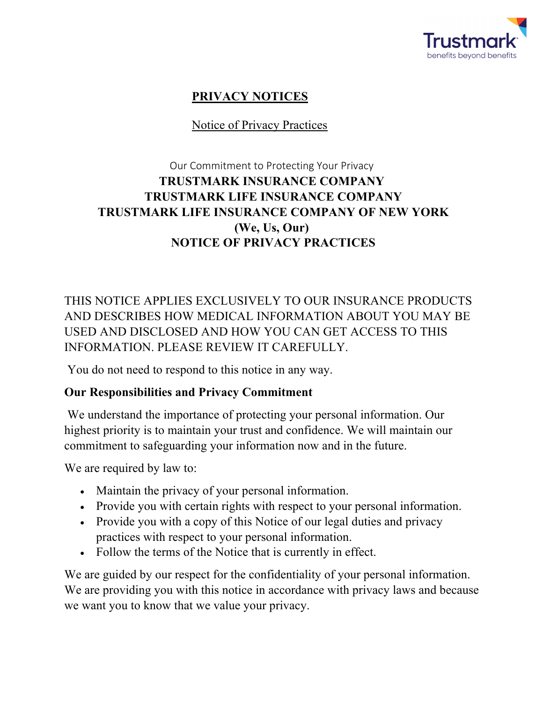

# **PRIVACY NOTICES**

### Notice of Privacy Practices

## Our Commitment to Protecting Your Privacy **TRUSTMARK INSURANCE COMPANY TRUSTMARK LIFE INSURANCE COMPANY TRUSTMARK LIFE INSURANCE COMPANY OF NEW YORK (We, Us, Our) NOTICE OF PRIVACY PRACTICES**

THIS NOTICE APPLIES EXCLUSIVELY TO OUR INSURANCE PRODUCTS AND DESCRIBES HOW MEDICAL INFORMATION ABOUT YOU MAY BE USED AND DISCLOSED AND HOW YOU CAN GET ACCESS TO THIS INFORMATION. PLEASE REVIEW IT CAREFULLY.

You do not need to respond to this notice in any way.

#### **Our Responsibilities and Privacy Commitment**

We understand the importance of protecting your personal information. Our highest priority is to maintain your trust and confidence. We will maintain our commitment to safeguarding your information now and in the future.

We are required by law to:

- Maintain the privacy of your personal information.
- Provide you with certain rights with respect to your personal information.
- Provide you with a copy of this Notice of our legal duties and privacy practices with respect to your personal information.
- Follow the terms of the Notice that is currently in effect.

We are guided by our respect for the confidentiality of your personal information. We are providing you with this notice in accordance with privacy laws and because we want you to know that we value your privacy.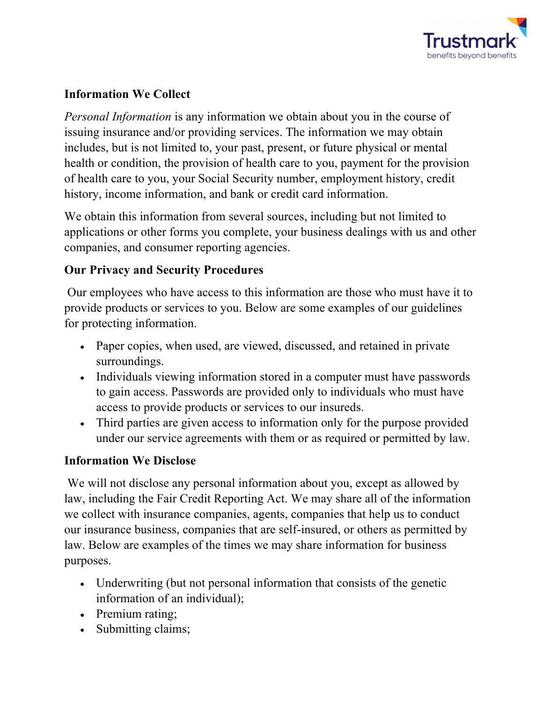

### **Information We Collect**

*Personal Information* is any information we obtain about you in the course of issuing insurance and/or providing services. The information we may obtain includes, but is not limited to, your past, present, or future physical or mental health or condition, the provision of health care to you, payment for the provision of health care to you, your Social Security number, employment history, credit history, income information, and bank or credit card information.

We obtain this information from several sources, including but not limited to applications or other forms you complete, your business dealings with us and other companies, and consumer reporting agencies.

#### **Our Privacy and Security Procedures**

Our employees who have access to this information are those who must have it to provide products or services to you. Below are some examples of our guidelines for protecting information.

- Paper copies, when used, are viewed, discussed, and retained in private surroundings.
- Individuals viewing information stored in a computer must have passwords to gain access. Passwords are provided only to individuals who must have access to provide products or services to our insureds.
- Third parties are given access to information only for the purpose provided under our service agreements with them or as required or permitted by law.

#### **Information We Disclose**

We will not disclose any personal information about you, except as allowed by law, including the Fair Credit Reporting Act. We may share all of the information we collect with insurance companies, agents, companies that help us to conduct our insurance business, companies that are self-insured, or others as permitted by law. Below are examples of the times we may share information for business purposes.

- Underwriting (but not personal information that consists of the genetic information of an individual);
- Premium rating;
- Submitting claims;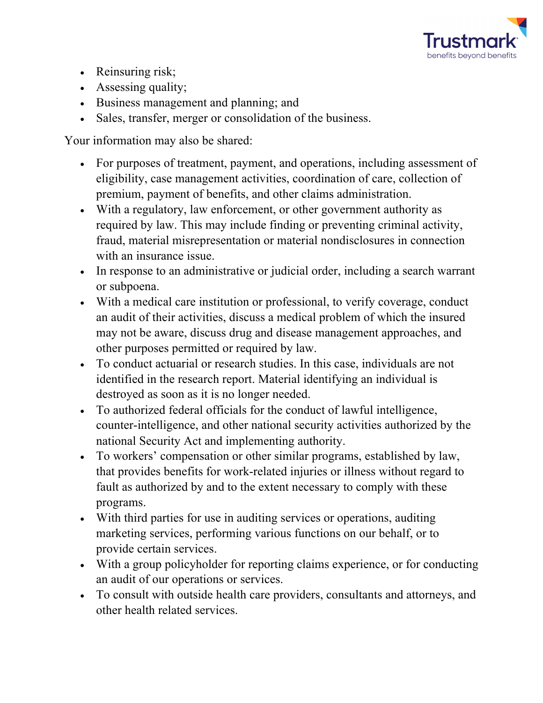

- Reinsuring risk;
- Assessing quality;
- Business management and planning; and
- Sales, transfer, merger or consolidation of the business.

Your information may also be shared:

- For purposes of treatment, payment, and operations, including assessment of eligibility, case management activities, coordination of care, collection of premium, payment of benefits, and other claims administration.
- With a regulatory, law enforcement, or other government authority as required by law. This may include finding or preventing criminal activity, fraud, material misrepresentation or material nondisclosures in connection with an insurance issue.
- In response to an administrative or judicial order, including a search warrant or subpoena.
- With a medical care institution or professional, to verify coverage, conduct an audit of their activities, discuss a medical problem of which the insured may not be aware, discuss drug and disease management approaches, and other purposes permitted or required by law.
- To conduct actuarial or research studies. In this case, individuals are not identified in the research report. Material identifying an individual is destroyed as soon as it is no longer needed.
- To authorized federal officials for the conduct of lawful intelligence, counter-intelligence, and other national security activities authorized by the national Security Act and implementing authority.
- To workers' compensation or other similar programs, established by law, that provides benefits for work-related injuries or illness without regard to fault as authorized by and to the extent necessary to comply with these programs.
- With third parties for use in auditing services or operations, auditing marketing services, performing various functions on our behalf, or to provide certain services.
- With a group policyholder for reporting claims experience, or for conducting an audit of our operations or services.
- To consult with outside health care providers, consultants and attorneys, and other health related services.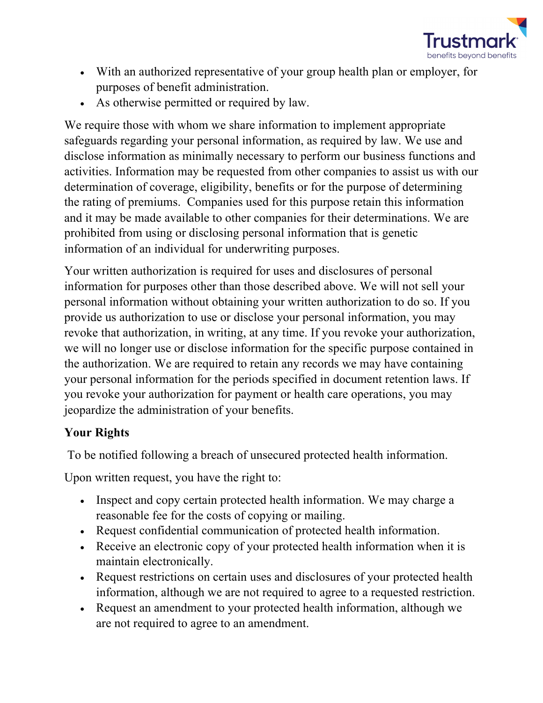

- With an authorized representative of your group health plan or employer, for purposes of benefit administration.
- As otherwise permitted or required by law.

We require those with whom we share information to implement appropriate safeguards regarding your personal information, as required by law. We use and disclose information as minimally necessary to perform our business functions and activities. Information may be requested from other companies to assist us with our determination of coverage, eligibility, benefits or for the purpose of determining the rating of premiums. Companies used for this purpose retain this information and it may be made available to other companies for their determinations. We are prohibited from using or disclosing personal information that is genetic information of an individual for underwriting purposes.

Your written authorization is required for uses and disclosures of personal information for purposes other than those described above. We will not sell your personal information without obtaining your written authorization to do so. If you provide us authorization to use or disclose your personal information, you may revoke that authorization, in writing, at any time. If you revoke your authorization, we will no longer use or disclose information for the specific purpose contained in the authorization. We are required to retain any records we may have containing your personal information for the periods specified in document retention laws. If you revoke your authorization for payment or health care operations, you may jeopardize the administration of your benefits.

#### **Your Rights**

To be notified following a breach of unsecured protected health information.

Upon written request, you have the right to:

- Inspect and copy certain protected health information. We may charge a reasonable fee for the costs of copying or mailing.
- Request confidential communication of protected health information.
- Receive an electronic copy of your protected health information when it is maintain electronically.
- Request restrictions on certain uses and disclosures of your protected health information, although we are not required to agree to a requested restriction.
- Request an amendment to your protected health information, although we are not required to agree to an amendment.